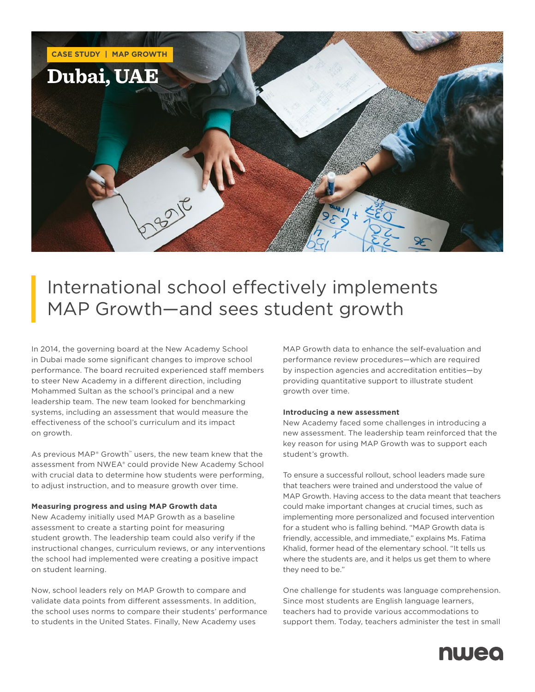

# International school effectively implements MAP Growth—and sees student growth

In 2014, the governing board at the New Academy School in Dubai made some significant changes to improve school performance. The board recruited experienced staff members to steer New Academy in a different direction, including Mohammed Sultan as the school's principal and a new leadership team. The new team looked for benchmarking systems, including an assessment that would measure the effectiveness of the school's curriculum and its impact on growth.

As previous MAP® Growth™ users, the new team knew that the assessment from NWEA® could provide New Academy School with crucial data to determine how students were performing, to adjust instruction, and to measure growth over time.

## **Measuring progress and using MAP Growth data**

New Academy initially used MAP Growth as a baseline assessment to create a starting point for measuring student growth. The leadership team could also verify if the instructional changes, curriculum reviews, or any interventions the school had implemented were creating a positive impact on student learning.

Now, school leaders rely on MAP Growth to compare and validate data points from different assessments. In addition, the school uses norms to compare their students' performance to students in the United States. Finally, New Academy uses

MAP Growth data to enhance the self-evaluation and performance review procedures—which are required by inspection agencies and accreditation entities—by providing quantitative support to illustrate student growth over time.

#### **Introducing a new assessment**

New Academy faced some challenges in introducing a new assessment. The leadership team reinforced that the key reason for using MAP Growth was to support each student's growth.

To ensure a successful rollout, school leaders made sure that teachers were trained and understood the value of MAP Growth. Having access to the data meant that teachers could make important changes at crucial times, such as implementing more personalized and focused intervention for a student who is falling behind. "MAP Growth data is friendly, accessible, and immediate," explains Ms. Fatima Khalid, former head of the elementary school. "It tells us where the students are, and it helps us get them to where they need to be."

One challenge for students was language comprehension. Since most students are English language learners, teachers had to provide various accommodations to support them. Today, teachers administer the test in small